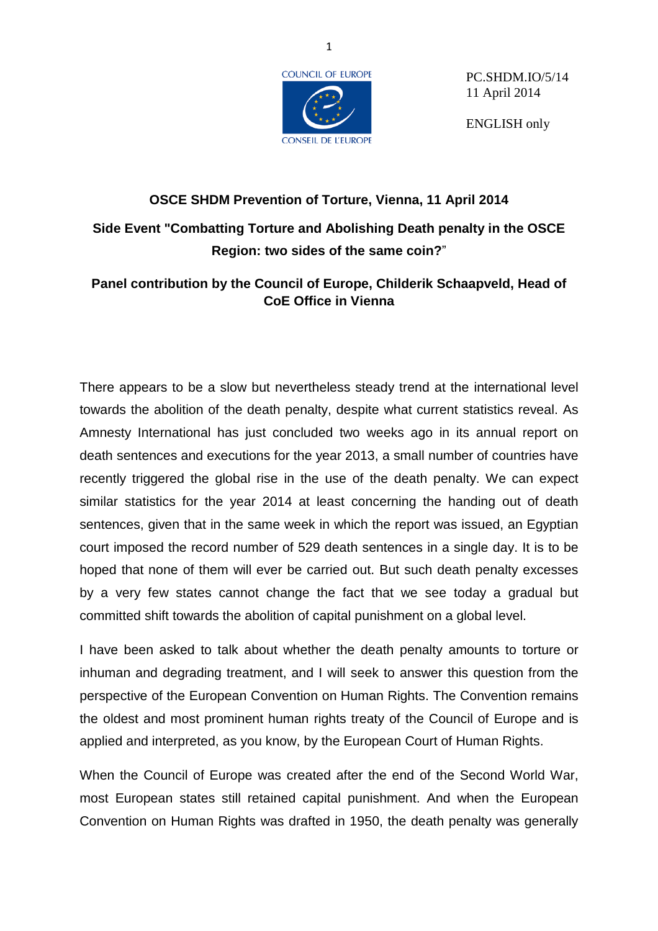

PC.SHDM.IO/5/14 11 April 2014

ENGLISH only

## **OSCE SHDM Prevention of Torture, Vienna, 11 April 2014 Side Event "Combatting Torture and Abolishing Death penalty in the OSCE Region: two sides of the same coin?**"

## **Panel contribution by the Council of Europe, Childerik Schaapveld, Head of CoE Office in Vienna**

There appears to be a slow but nevertheless steady trend at the international level towards the abolition of the death penalty, despite what current statistics reveal. As Amnesty International has just concluded two weeks ago in its annual report on death sentences and executions for the year 2013, a small number of countries have recently triggered the global rise in the use of the death penalty. We can expect similar statistics for the year 2014 at least concerning the handing out of death sentences, given that in the same week in which the report was issued, an Egyptian court imposed the record number of 529 death sentences in a single day. It is to be hoped that none of them will ever be carried out. But such death penalty excesses by a very few states cannot change the fact that we see today a gradual but committed shift towards the abolition of capital punishment on a global level.

I have been asked to talk about whether the death penalty amounts to torture or inhuman and degrading treatment, and I will seek to answer this question from the perspective of the European Convention on Human Rights. The Convention remains the oldest and most prominent human rights treaty of the Council of Europe and is applied and interpreted, as you know, by the European Court of Human Rights.

When the Council of Europe was created after the end of the Second World War, most European states still retained capital punishment. And when the European Convention on Human Rights was drafted in 1950, the death penalty was generally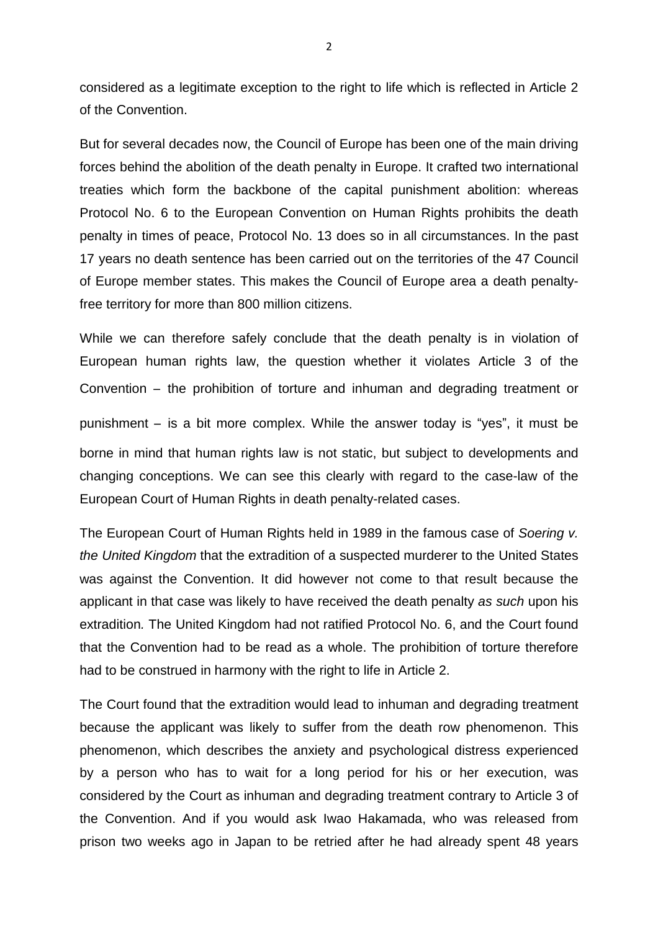considered as a legitimate exception to the right to life which is reflected in Article 2 of the Convention.

But for several decades now, the Council of Europe has been one of the main driving forces behind the abolition of the death penalty in Europe. It crafted two international treaties which form the backbone of the capital punishment abolition: whereas Protocol No. 6 to the European Convention on Human Rights prohibits the death penalty in times of peace, Protocol No. 13 does so in all circumstances. In the past 17 years no death sentence has been carried out on the territories of the 47 Council of Europe member states. This makes the Council of Europe area a death penaltyfree territory for more than 800 million citizens.

While we can therefore safely conclude that the death penalty is in violation of European human rights law, the question whether it violates Article 3 of the Convention – the prohibition of torture and inhuman and degrading treatment or punishment – is a bit more complex. While the answer today is "yes", it must be borne in mind that human rights law is not static, but subject to developments and changing conceptions. We can see this clearly with regard to the case-law of the European Court of Human Rights in death penalty-related cases.

The European Court of Human Rights held in 1989 in the famous case of *Soering v. the United Kingdom* that the extradition of a suspected murderer to the United States was against the Convention. It did however not come to that result because the applicant in that case was likely to have received the death penalty *as such* upon his extradition*.* The United Kingdom had not ratified Protocol No. 6, and the Court found that the Convention had to be read as a whole. The prohibition of torture therefore had to be construed in harmony with the right to life in Article 2.

The Court found that the extradition would lead to inhuman and degrading treatment because the applicant was likely to suffer from the death row phenomenon. This phenomenon, which describes the anxiety and psychological distress experienced by a person who has to wait for a long period for his or her execution, was considered by the Court as inhuman and degrading treatment contrary to Article 3 of the Convention. And if you would ask Iwao Hakamada, who was released from prison two weeks ago in Japan to be retried after he had already spent 48 years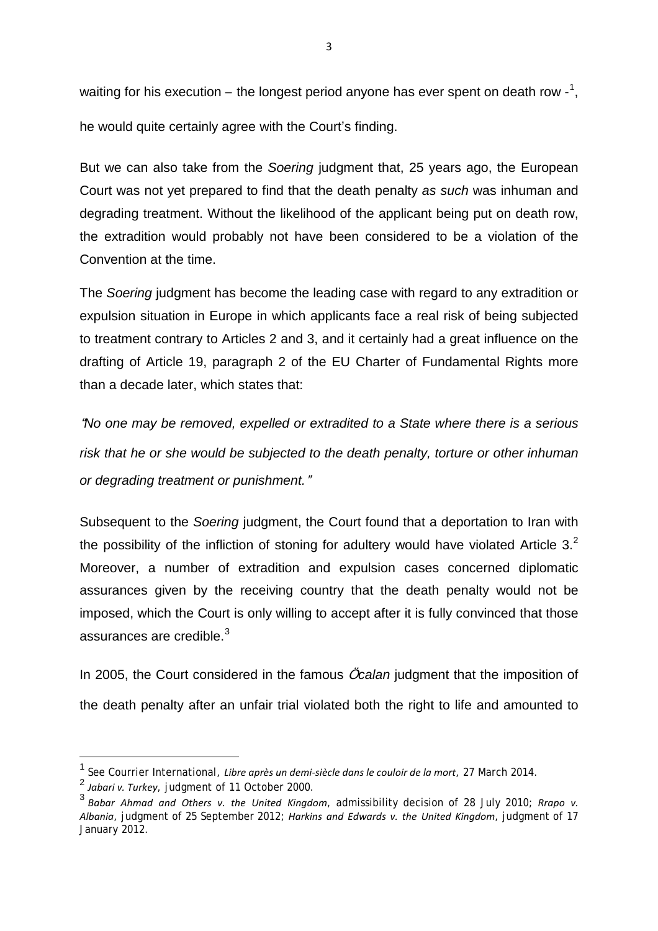waiting for his execution – the longest period anyone has ever spent on death row -<sup>[1](#page-2-0)</sup>, he would quite certainly agree with the Court's finding.

But we can also take from the *Soering* judgment that, 25 years ago, the European Court was not yet prepared to find that the death penalty *as such* was inhuman and degrading treatment. Without the likelihood of the applicant being put on death row, the extradition would probably not have been considered to be a violation of the Convention at the time.

The *Soering* judgment has become the leading case with regard to any extradition or expulsion situation in Europe in which applicants face a real risk of being subjected to treatment contrary to Articles 2 and 3, and it certainly had a great influence on the drafting of Article 19, paragraph 2 of the EU Charter of Fundamental Rights more than a decade later, which states that:

"*No one may be removed, expelled or extradited to a State where there is a serious risk that he or she would be subjected to the death penalty, torture or other inhuman or degrading treatment or punishment.*"

Subsequent to the *Soering* judgment, the Court found that a deportation to Iran with the possibility of the infliction of stoning for adultery would have violated Article  $3<sup>2</sup>$  $3<sup>2</sup>$  $3<sup>2</sup>$ Moreover, a number of extradition and expulsion cases concerned diplomatic assurances given by the receiving country that the death penalty would not be imposed, which the Court is only willing to accept after it is fully convinced that those assurances are credible. $3$ 

In 2005, the Court considered in the famous *Öcalan* judgment that the imposition of the death penalty after an unfair trial violated both the right to life and amounted to

<span id="page-2-0"></span><sup>1</sup> See Courrier International, *Libre après un demi-siècle dans le couloir de la mort*, <sup>27</sup> March 2014.

<span id="page-2-1"></span><sup>2</sup> *Jabari v. Turkey*, judgment of 11 October 2000.

<span id="page-2-2"></span><sup>3</sup> *Babar Ahmad and Others v. the United Kingdom*, admissibility decision of 28 July 2010; *Rrapo v. Albania*, judgment of 25 September 2012; *Harkins and Edwards v. the United Kingdom*, judgment of 17 January 2012.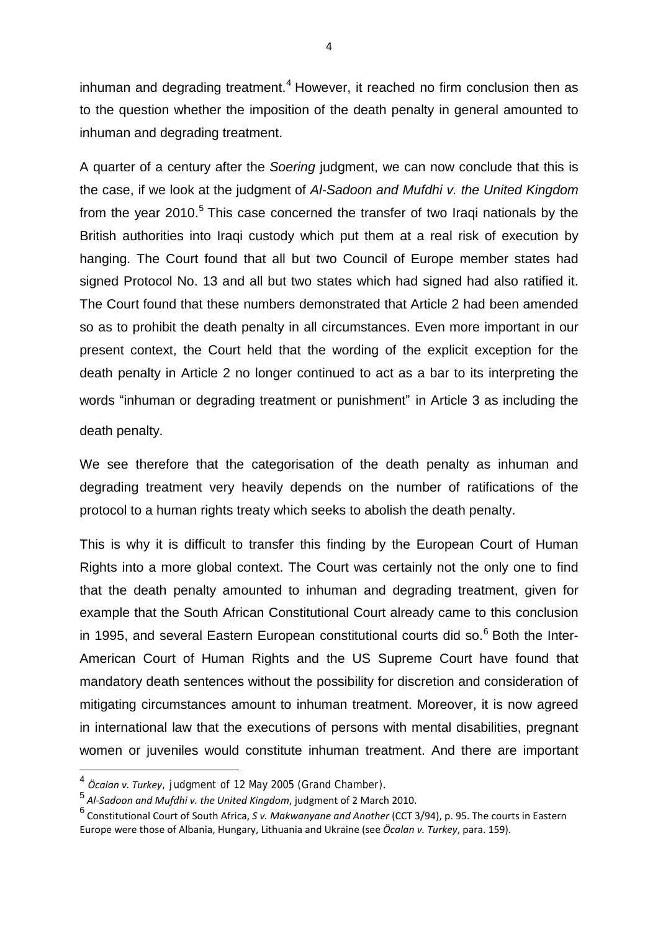inhuman and degrading treatment.<sup>[4](#page-3-0)</sup> However, it reached no firm conclusion then as to the question whether the imposition of the death penalty in general amounted to inhuman and degrading treatment.

A quarter of a century after the *Soering* judgment, we can now conclude that this is the case, if we look at the judgment of *Al-Sadoon and Mufdhi v. the United Kingdom* from the year  $2010$ .<sup>[5](#page-3-1)</sup> This case concerned the transfer of two Iraqi nationals by the British authorities into Iraqi custody which put them at a real risk of execution by hanging. The Court found that all but two Council of Europe member states had signed Protocol No. 13 and all but two states which had signed had also ratified it. The Court found that these numbers demonstrated that Article 2 had been amended so as to prohibit the death penalty in all circumstances. Even more important in our present context, the Court held that the wording of the explicit exception for the death penalty in Article 2 no longer continued to act as a bar to its interpreting the words "inhuman or degrading treatment or punishment" in Article 3 as including the death penalty.

We see therefore that the categorisation of the death penalty as inhuman and degrading treatment very heavily depends on the number of ratifications of the protocol to a human rights treaty which seeks to abolish the death penalty.

This is why it is difficult to transfer this finding by the European Court of Human Rights into a more global context. The Court was certainly not the only one to find that the death penalty amounted to inhuman and degrading treatment, given for example that the South African Constitutional Court already came to this conclusion in 1995, and several Eastern European constitutional courts did so. $<sup>6</sup>$  $<sup>6</sup>$  $<sup>6</sup>$  Both the Inter-</sup> American Court of Human Rights and the US Supreme Court have found that mandatory death sentences without the possibility for discretion and consideration of mitigating circumstances amount to inhuman treatment. Moreover, it is now agreed in international law that the executions of persons with mental disabilities, pregnant women or juveniles would constitute inhuman treatment. And there are important

<span id="page-3-0"></span><sup>4</sup> *<sup>Ӧ</sup>calan v. Turkey*, judgment of <sup>12</sup> May <sup>2005</sup> (Grand Chamber).

<span id="page-3-1"></span><sup>5</sup> *Al-Sadoon and Mufdhi v. the United Kingdom*, judgment of 2 March 2010.

<span id="page-3-2"></span><sup>6</sup> Constitutional Court of South Africa, *S v. Makwanyane and Another* (CCT 3/94), p. 95. The courts in Eastern Europe were those of Albania, Hungary, Lithuania and Ukraine (see *Ӧcalan v. Turkey*, para. 159).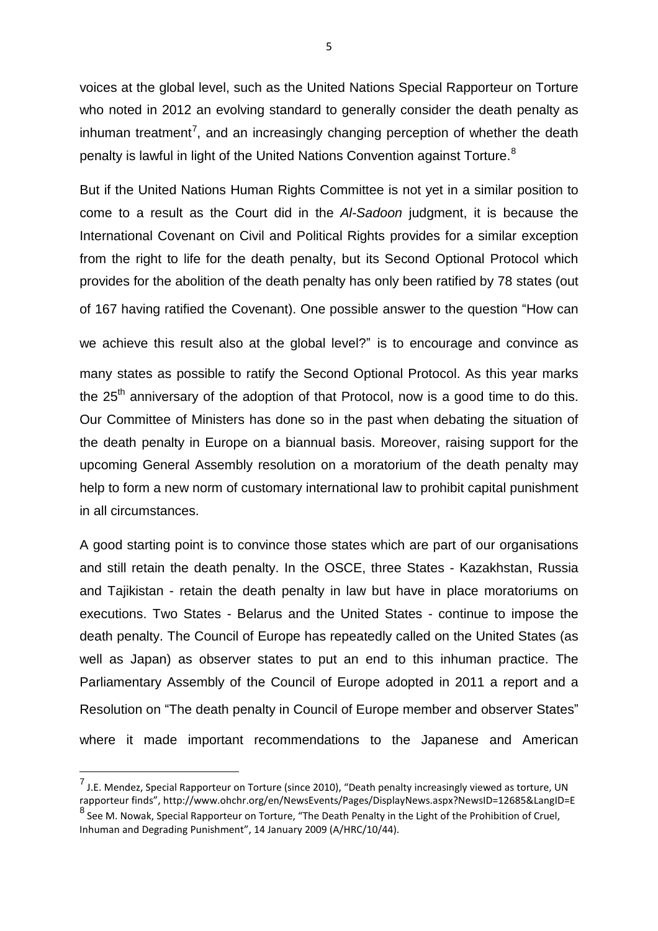voices at the global level, such as the United Nations Special Rapporteur on Torture who noted in 2012 an evolving standard to generally consider the death penalty as inhuman treatment<sup>[7](#page-4-0)</sup>, and an increasingly changing perception of whether the death penalty is lawful in light of the United Nations Convention against Torture.<sup>[8](#page-4-1)</sup>

But if the United Nations Human Rights Committee is not yet in a similar position to come to a result as the Court did in the *Al-Sadoon* judgment, it is because the International Covenant on Civil and Political Rights provides for a similar exception from the right to life for the death penalty, but its Second Optional Protocol which provides for the abolition of the death penalty has only been ratified by 78 states (out of 167 having ratified the Covenant). One possible answer to the question "How can

we achieve this result also at the global level?" is to encourage and convince as many states as possible to ratify the Second Optional Protocol. As this year marks the  $25<sup>th</sup>$  anniversary of the adoption of that Protocol, now is a good time to do this. Our Committee of Ministers has done so in the past when debating the situation of the death penalty in Europe on a biannual basis. Moreover, raising support for the upcoming General Assembly resolution on a moratorium of the death penalty may help to form a new norm of customary international law to prohibit capital punishment in all circumstances.

A good starting point is to convince those states which are part of our organisations and still retain the death penalty. In the OSCE, three States - Kazakhstan, Russia and Tajikistan - retain the death penalty in law but have in place moratoriums on executions. Two States - Belarus and the United States - continue to impose the death penalty. The Council of Europe has repeatedly called on the United States (as well as Japan) as observer states to put an end to this inhuman practice. The Parliamentary Assembly of the Council of Europe adopted in 2011 a report and a Resolution on "The death penalty in Council of Europe member and observer States" where it made important recommendations to the Japanese and American

<span id="page-4-0"></span><sup>7</sup> J.E. Mendez, Special Rapporteur on Torture (since 2010), "Death penalty increasingly viewed as torture, UN rapporteur finds", http://www.ohchr.org/en/NewsEvents/Pages/DisplayNews.aspx?NewsID=12685&LangID=E <sup>8</sup> See M. Nowak, Special Rapporteur on Torture, "The Death Penalty in the Light of the Prohibition of Cruel,

<span id="page-4-1"></span>Inhuman and Degrading Punishment", 14 January 2009 (A/HRC/10/44).